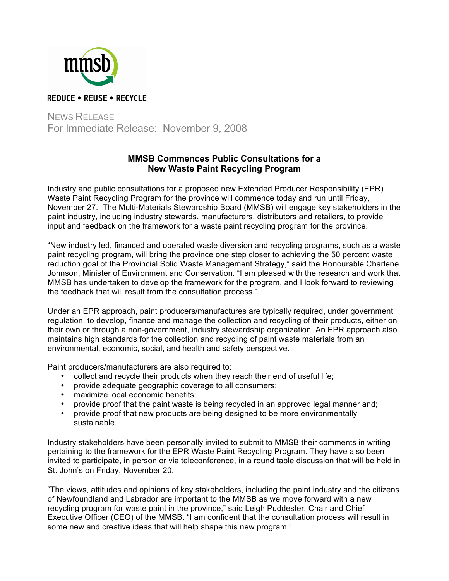

NEWS RELEASE For Immediate Release: November 9, 2008

## **MMSB Commences Public Consultations for a New Waste Paint Recycling Program**

Industry and public consultations for a proposed new Extended Producer Responsibility (EPR) Waste Paint Recycling Program for the province will commence today and run until Friday, November 27. The Multi-Materials Stewardship Board (MMSB) will engage key stakeholders in the paint industry, including industry stewards, manufacturers, distributors and retailers, to provide input and feedback on the framework for a waste paint recycling program for the province.

"New industry led, financed and operated waste diversion and recycling programs, such as a waste paint recycling program, will bring the province one step closer to achieving the 50 percent waste reduction goal of the Provincial Solid Waste Management Strategy," said the Honourable Charlene Johnson, Minister of Environment and Conservation. "I am pleased with the research and work that MMSB has undertaken to develop the framework for the program, and I look forward to reviewing the feedback that will result from the consultation process."

Under an EPR approach, paint producers/manufactures are typically required, under government regulation, to develop, finance and manage the collection and recycling of their products, either on their own or through a non-government, industry stewardship organization. An EPR approach also maintains high standards for the collection and recycling of paint waste materials from an environmental, economic, social, and health and safety perspective.

Paint producers/manufacturers are also required to:

- collect and recycle their products when they reach their end of useful life;
- provide adequate geographic coverage to all consumers;
- maximize local economic benefits;
- provide proof that the paint waste is being recycled in an approved legal manner and;
- provide proof that new products are being designed to be more environmentally sustainable.

Industry stakeholders have been personally invited to submit to MMSB their comments in writing pertaining to the framework for the EPR Waste Paint Recycling Program. They have also been invited to participate, in person or via teleconference, in a round table discussion that will be held in St. John's on Friday, November 20.

"The views, attitudes and opinions of key stakeholders, including the paint industry and the citizens of Newfoundland and Labrador are important to the MMSB as we move forward with a new recycling program for waste paint in the province," said Leigh Puddester, Chair and Chief Executive Officer (CEO) of the MMSB. "I am confident that the consultation process will result in some new and creative ideas that will help shape this new program."